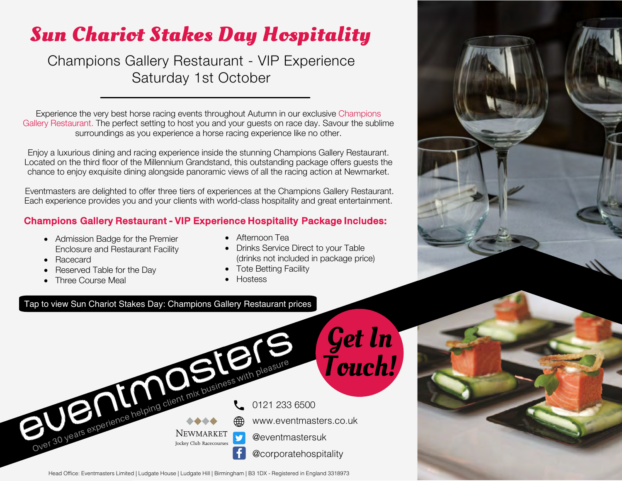## **Sun Chariot Stakes Day Hospitality**

Champions Gallery Restaurant - VIP Experience Saturday 1st October

Experience the very best horse racing events throughout Autumn in our exclusive Champions Gallery Restaurant. The perfect setting to host you and your guests on race day. Savour the sublime surroundings as you experience a horse racing experience like no other.

Enjoy a luxurious dining and racing experience inside the stunning Champions Gallery Restaurant. Located on the third floor of the Millennium Grandstand, this outstanding package offers guests the chance to enjoy exquisite dining alongside panoramic views of all the racing action at Newmarket.

Eventmasters are delighted to offer three tiers of experiences at the Champions Gallery Restaurant. Each experience provides you and your clients with world-class hospitality and great entertainment.

### Champions Gallery Restaurant - VIP Experience Hospitality Package Includes:

- Admission Badge for the Premier Enclosure and Restaurant Facility
- Racecard
- Reserved Table for the Day
- Three Course Meal
- Afternoon Tea
- Drinks Service Direct to your Table (drinks not included in package price)
- Tote Betting Facility
- Hostess

#### Tap to view Sun Chariot Stakes Day: [Champions Gallery Restaurant](https://www.eventmasters.co.uk/horse-racing-hospitality/newmarket-hospitality/gold-season-rowley-mile/sun-chariot-day.html) prices





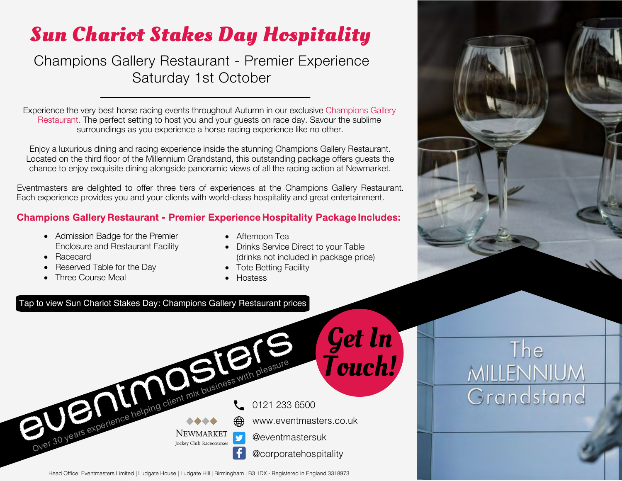# **Sun Chariot Stakes Day Hospitality**

Champions Gallery Restaurant - Premier Experience Saturday 1st October

Experience the very best horse racing events throughout Autumn in our exclusive Champions Gallery Restaurant. The perfect setting to host you and your guests on race day. Savour the sublime surroundings as you experience a horse racing experience like no other.

Enjoy a luxurious dining and racing experience inside the stunning Champions Gallery Restaurant. Located on the third floor of the Millennium Grandstand, this outstanding package offers guests the chance to enjoy exquisite dining alongside panoramic views of all the racing action at Newmarket.

Eventmasters are delighted to offer three tiers of experiences at the Champions Gallery Restaurant. Each experience provides you and your clients with world-class hospitality and great entertainment.

### Champions Gallery Restaurant - Premier Experience Hospitality Package Includes:

- Admission Badge for the Premier Enclosure and Restaurant Facility
- Racecard
- Reserved Table for the Day
- Three Course Meal
- Afternoon Tea
- Drinks Service Direct to your Table (drinks not included in package price)
- Tote Betting Facility
- Hostess

#### Tap to view Sun Chariot Stakes Day: [Champions Gallery Restaurant](https://www.eventmasters.co.uk/horse-racing-hospitality/newmarket-hospitality/gold-season-rowley-mile/sun-chariot-day.html) prices



Head Office: Eventmasters Limited | Ludgate House | Ludgate Hill | Birmingham | B3 1DX - Registered in England 3318973



The

**MILLENNIUM** 

Grandstand